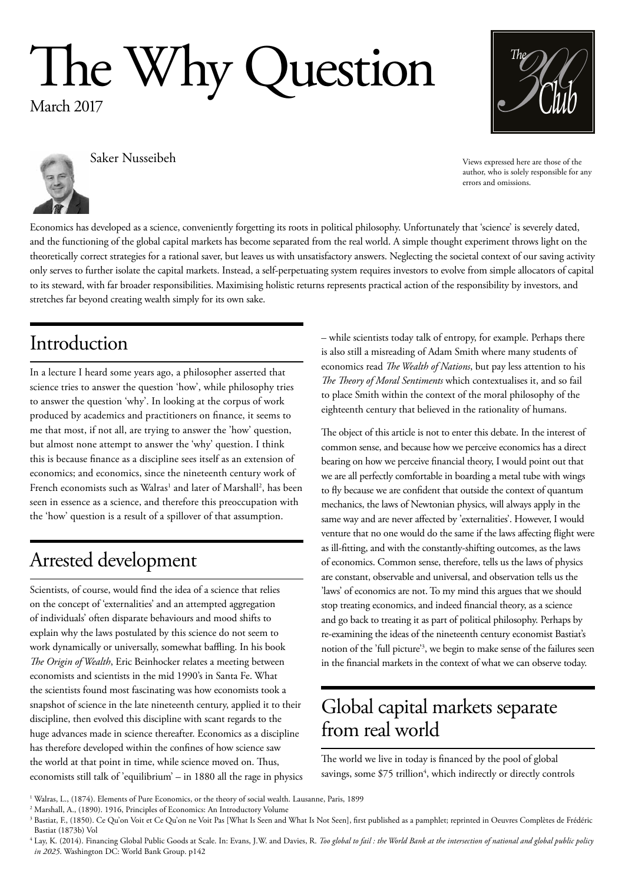# The Why Question

March 2017



Views expressed here are those of the author, who is solely responsible for any errors and omissions.



Economics has developed as a science, conveniently forgetting its roots in political philosophy. Unfortunately that 'science' is severely dated, and the functioning of the global capital markets has become separated from the real world. A simple thought experiment throws light on the theoretically correct strategies for a rational saver, but leaves us with unsatisfactory answers. Neglecting the societal context of our saving activity only serves to further isolate the capital markets. Instead, a self-perpetuating system requires investors to evolve from simple allocators of capital to its steward, with far broader responsibilities. Maximising holistic returns represents practical action of the responsibility by investors, and stretches far beyond creating wealth simply for its own sake.

#### Introduction

In a lecture I heard some years ago, a philosopher asserted that science tries to answer the question 'how', while philosophy tries to answer the question 'why'. In looking at the corpus of work produced by academics and practitioners on finance, it seems to me that most, if not all, are trying to answer the 'how' question, but almost none attempt to answer the 'why' question. I think this is because finance as a discipline sees itself as an extension of economics; and economics, since the nineteenth century work of French economists such as Walras<sup>1</sup> and later of Marshall<sup>2</sup>, has been seen in essence as a science, and therefore this preoccupation with the 'how' question is a result of a spillover of that assumption.

## Arrested development

Scientists, of course, would find the idea of a science that relies on the concept of 'externalities' and an attempted aggregation of individuals' often disparate behaviours and mood shifts to explain why the laws postulated by this science do not seem to work dynamically or universally, somewhat baffling. In his book *The Origin of Wealth*, Eric Beinhocker relates a meeting between economists and scientists in the mid 1990's in Santa Fe. What the scientists found most fascinating was how economists took a snapshot of science in the late nineteenth century, applied it to their discipline, then evolved this discipline with scant regards to the huge advances made in science thereafter. Economics as a discipline has therefore developed within the confines of how science saw the world at that point in time, while science moved on. Thus, economists still talk of 'equilibrium' – in 1880 all the rage in physics – while scientists today talk of entropy, for example. Perhaps there is also still a misreading of Adam Smith where many students of economics read *The Wealth of Nations*, but pay less attention to his *The Theory of Moral Sentiments* which contextualises it, and so fail to place Smith within the context of the moral philosophy of the eighteenth century that believed in the rationality of humans.

The object of this article is not to enter this debate. In the interest of common sense, and because how we perceive economics has a direct bearing on how we perceive financial theory, I would point out that we are all perfectly comfortable in boarding a metal tube with wings to fly because we are confident that outside the context of quantum mechanics, the laws of Newtonian physics, will always apply in the same way and are never affected by 'externalities'. However, I would venture that no one would do the same if the laws affecting flight were as ill-fitting, and with the constantly-shifting outcomes, as the laws of economics. Common sense, therefore, tells us the laws of physics are constant, observable and universal, and observation tells us the 'laws' of economics are not. To my mind this argues that we should stop treating economics, and indeed financial theory, as a science and go back to treating it as part of political philosophy. Perhaps by re-examining the ideas of the nineteenth century economist Bastiat's notion of the 'full picture'3 , we begin to make sense of the failures seen in the financial markets in the context of what we can observe today.

#### Global capital markets separate from real world

The world we live in today is financed by the pool of global savings, some \$75 trillion<sup>4</sup>, which indirectly or directly controls

<sup>1</sup> Walras, L., (1874). Elements of Pure Economics, or the theory of social wealth. Lausanne, Paris, 1899

<sup>2</sup> Marshall, A., (1890). 1916, Principles of Economics: An Introductory Volume

<sup>&</sup>lt;sup>3</sup> Bastiat, F., (1850). Ce Qu'on Voit et Ce Qu'on ne Voit Pas [What Is Seen and What Is Not Seen], first published as a pamphlet; reprinted in Oeuvres Complètes de Frédéric Bastiat (1873b) Vol

<sup>&</sup>lt;sup>4</sup> Lay, K. (2014). Financing Global Public Goods at Scale. In: Evans, J.W. and Davies, R. Too global to fail: the World Bank at the intersection of national and global public policy *in 2025*. Washington DC: World Bank Group. p142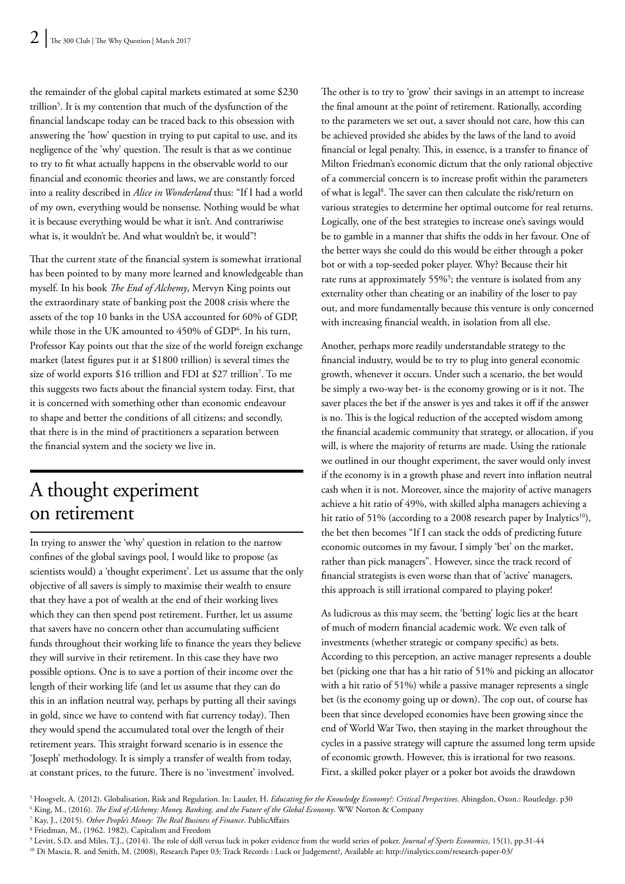the remainder of the global capital markets estimated at some \$230 trillion<sup>5</sup>. It is my contention that much of the dysfunction of the financial landscape today can be traced back to this obsession with answering the 'how' question in trying to put capital to use, and its negligence of the 'why' question. The result is that as we continue to try to fit what actually happens in the observable world to our financial and economic theories and laws, we are constantly forced into a reality described in *Alice in Wonderland* thus: "If I had a world of my own, everything would be nonsense. Nothing would be what it is because everything would be what it isn't. And contrariwise what is, it wouldn't be. And what wouldn't be, it would"!

That the current state of the financial system is somewhat irrational has been pointed to by many more learned and knowledgeable than myself. In his book *The End of Alchemy*, Mervyn King points out the extraordinary state of banking post the 2008 crisis where the assets of the top 10 banks in the USA accounted for 60% of GDP, while those in the UK amounted to 450% of GDP6 . In his turn, Professor Kay points out that the size of the world foreign exchange market (latest figures put it at \$1800 trillion) is several times the size of world exports \$16 trillion and FDI at \$27 trillion7 . To me this suggests two facts about the financial system today. First, that it is concerned with something other than economic endeavour to shape and better the conditions of all citizens; and secondly, that there is in the mind of practitioners a separation between the financial system and the society we live in.

#### A thought experiment on retirement

In trying to answer the 'why' question in relation to the narrow confines of the global savings pool, I would like to propose (as scientists would) a 'thought experiment'. Let us assume that the only objective of all savers is simply to maximise their wealth to ensure that they have a pot of wealth at the end of their working lives which they can then spend post retirement. Further, let us assume that savers have no concern other than accumulating sufficient funds throughout their working life to finance the years they believe they will survive in their retirement. In this case they have two possible options. One is to save a portion of their income over the length of their working life (and let us assume that they can do this in an inflation neutral way, perhaps by putting all their savings in gold, since we have to contend with fiat currency today). Then they would spend the accumulated total over the length of their retirement years. This straight forward scenario is in essence the 'Joseph' methodology. It is simply a transfer of wealth from today, at constant prices, to the future. There is no 'investment' involved.

The other is to try to 'grow' their savings in an attempt to increase the final amount at the point of retirement. Rationally, according to the parameters we set out, a saver should not care, how this can be achieved provided she abides by the laws of the land to avoid financial or legal penalty. This, in essence, is a transfer to finance of Milton Friedman's economic dictum that the only rational objective of a commercial concern is to increase profit within the parameters of what is legal<sup>8</sup>. The saver can then calculate the risk/return on various strategies to determine her optimal outcome for real returns. Logically, one of the best strategies to increase one's savings would be to gamble in a manner that shifts the odds in her favour. One of the better ways she could do this would be either through a poker bot or with a top-seeded poker player. Why? Because their hit rate runs at approximately 55%<sup>9</sup>; the venture is isolated from any externality other than cheating or an inability of the loser to pay out, and more fundamentally because this venture is only concerned with increasing financial wealth, in isolation from all else.

Another, perhaps more readily understandable strategy to the financial industry, would be to try to plug into general economic growth, whenever it occurs. Under such a scenario, the bet would be simply a two-way bet- is the economy growing or is it not. The saver places the bet if the answer is yes and takes it off if the answer is no. This is the logical reduction of the accepted wisdom among the financial academic community that strategy, or allocation, if you will, is where the majority of returns are made. Using the rationale we outlined in our thought experiment, the saver would only invest if the economy is in a growth phase and revert into inflation neutral cash when it is not. Moreover, since the majority of active managers achieve a hit ratio of 49%, with skilled alpha managers achieving a hit ratio of 51% (according to a 2008 research paper by Inalytics<sup>10</sup>), the bet then becomes "If I can stack the odds of predicting future economic outcomes in my favour, I simply 'bet' on the market, rather than pick managers". However, since the track record of financial strategists is even worse than that of 'active' managers, this approach is still irrational compared to playing poker!

As ludicrous as this may seem, the 'betting' logic lies at the heart of much of modern financial academic work. We even talk of investments (whether strategic or company specific) as bets. According to this perception, an active manager represents a double bet (picking one that has a hit ratio of 51% and picking an allocator with a hit ratio of 51%) while a passive manager represents a single bet (is the economy going up or down). The cop out, of course has been that since developed economies have been growing since the end of World War Two, then staying in the market throughout the cycles in a passive strategy will capture the assumed long term upside of economic growth. However, this is irrational for two reasons. First, a skilled poker player or a poker bot avoids the drawdown

7 Kay, J., (2015). *Other People's Money: The Real Business of Finance*. PublicAffairs

<sup>&</sup>lt;sup>5</sup> Hoogvelt, A. (2012). Globalisation, Risk and Regulation. In: Lauder, H. *Educating for the Knowledge Economy?: Critical Perspectives.* Abingdon, Oxon.: Routledge. p30 6 King, M., (2016). *The End of Alchemy: Money, Banking, and the Future of the Global Economy*. WW Norton & Company

<sup>8</sup> Friedman, M., (1962. 1982), Capitalism and Freedom

<sup>9</sup> Levitt, S.D. and Miles, T.J., (2014). The role of skill versus luck in poker evidence from the world series of poker. *Journal of Sports Economics*, 15(1), pp.31-44

<sup>10</sup> Di Mascia, R. and Smith, M. (2008), Research Paper 03: Track Records : Luck or Judgement?, Available at: http://inalytics.com/research-paper-03/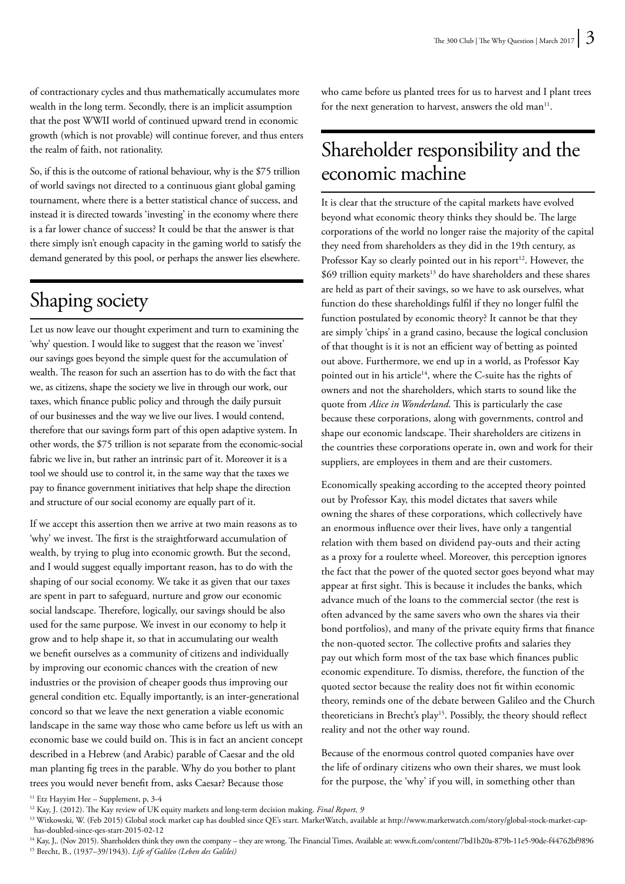of contractionary cycles and thus mathematically accumulates more wealth in the long term. Secondly, there is an implicit assumption that the post WWII world of continued upward trend in economic growth (which is not provable) will continue forever, and thus enters the realm of faith, not rationality.

So, if this is the outcome of rational behaviour, why is the \$75 trillion of world savings not directed to a continuous giant global gaming tournament, where there is a better statistical chance of success, and instead it is directed towards 'investing' in the economy where there is a far lower chance of success? It could be that the answer is that there simply isn't enough capacity in the gaming world to satisfy the demand generated by this pool, or perhaps the answer lies elsewhere.

## Shaping society

Let us now leave our thought experiment and turn to examining the 'why' question. I would like to suggest that the reason we 'invest' our savings goes beyond the simple quest for the accumulation of wealth. The reason for such an assertion has to do with the fact that we, as citizens, shape the society we live in through our work, our taxes, which finance public policy and through the daily pursuit of our businesses and the way we live our lives. I would contend, therefore that our savings form part of this open adaptive system. In other words, the \$75 trillion is not separate from the economic-social fabric we live in, but rather an intrinsic part of it. Moreover it is a tool we should use to control it, in the same way that the taxes we pay to finance government initiatives that help shape the direction and structure of our social economy are equally part of it.

If we accept this assertion then we arrive at two main reasons as to 'why' we invest. The first is the straightforward accumulation of wealth, by trying to plug into economic growth. But the second, and I would suggest equally important reason, has to do with the shaping of our social economy. We take it as given that our taxes are spent in part to safeguard, nurture and grow our economic social landscape. Therefore, logically, our savings should be also used for the same purpose. We invest in our economy to help it grow and to help shape it, so that in accumulating our wealth we benefit ourselves as a community of citizens and individually by improving our economic chances with the creation of new industries or the provision of cheaper goods thus improving our general condition etc. Equally importantly, is an inter-generational concord so that we leave the next generation a viable economic landscape in the same way those who came before us left us with an economic base we could build on. This is in fact an ancient concept described in a Hebrew (and Arabic) parable of Caesar and the old man planting fig trees in the parable. Why do you bother to plant trees you would never benefit from, asks Caesar? Because those

who came before us planted trees for us to harvest and I plant trees for the next generation to harvest, answers the old man<sup>11</sup>.

#### Shareholder responsibility and the economic machine

It is clear that the structure of the capital markets have evolved beyond what economic theory thinks they should be. The large corporations of the world no longer raise the majority of the capital they need from shareholders as they did in the 19th century, as Professor Kay so clearly pointed out in his report<sup>12</sup>. However, the  $$69$  trillion equity markets<sup>13</sup> do have shareholders and these shares are held as part of their savings, so we have to ask ourselves, what function do these shareholdings fulfil if they no longer fulfil the function postulated by economic theory? It cannot be that they are simply 'chips' in a grand casino, because the logical conclusion of that thought is it is not an efficient way of betting as pointed out above. Furthermore, we end up in a world, as Professor Kay pointed out in his article<sup>14</sup>, where the C-suite has the rights of owners and not the shareholders, which starts to sound like the quote from *Alice in Wonderland*. This is particularly the case because these corporations, along with governments, control and shape our economic landscape. Their shareholders are citizens in the countries these corporations operate in, own and work for their suppliers, are employees in them and are their customers.

Economically speaking according to the accepted theory pointed out by Professor Kay, this model dictates that savers while owning the shares of these corporations, which collectively have an enormous influence over their lives, have only a tangential relation with them based on dividend pay-outs and their acting as a proxy for a roulette wheel. Moreover, this perception ignores the fact that the power of the quoted sector goes beyond what may appear at first sight. This is because it includes the banks, which advance much of the loans to the commercial sector (the rest is often advanced by the same savers who own the shares via their bond portfolios), and many of the private equity firms that finance the non-quoted sector. The collective profits and salaries they pay out which form most of the tax base which finances public economic expenditure. To dismiss, therefore, the function of the quoted sector because the reality does not fit within economic theory, reminds one of the debate between Galileo and the Church theoreticians in Brecht's play<sup>15</sup>. Possibly, the theory should reflect reality and not the other way round.

Because of the enormous control quoted companies have over the life of ordinary citizens who own their shares, we must look for the purpose, the 'why' if you will, in something other than

<sup>&</sup>lt;sup>11</sup> Etz Hayyim Hee – Supplement, p,  $3-4$ 

<sup>&</sup>lt;sup>12</sup> Kay, J. (2012). The Kay review of UK equity markets and long-term decision making. *Final Report, 9* 

<sup>13</sup> Witkowski, W. (Feb 2015) Global stock market cap has doubled since QE's start. MarketWatch, available at http://www.marketwatch.com/story/global-stock-market-caphas-doubled-since-qes-start-2015-02-12

<sup>&</sup>lt;sup>14</sup> Kay, J,. (Nov 2015). Shareholders think they own the company – they are wrong. The Financial Times, Available at: www.ft.com/content/7bd1b20a-879b-11e5-90de-f44762bf9896 15 Brecht, B., (1937–39/1943). *Life of Galileo (Leben des Galilei)*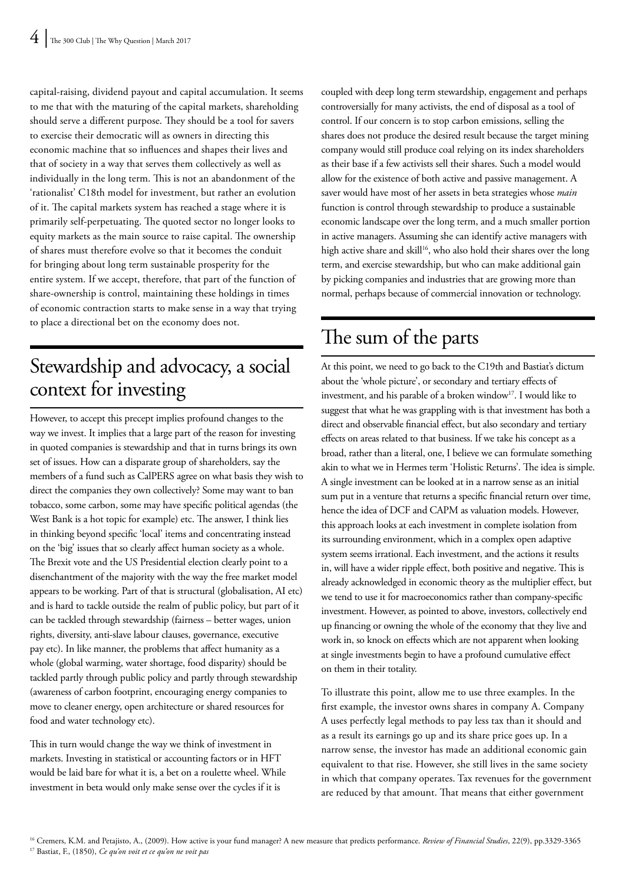capital-raising, dividend payout and capital accumulation. It seems to me that with the maturing of the capital markets, shareholding should serve a different purpose. They should be a tool for savers to exercise their democratic will as owners in directing this economic machine that so influences and shapes their lives and that of society in a way that serves them collectively as well as individually in the long term. This is not an abandonment of the 'rationalist' C18th model for investment, but rather an evolution of it. The capital markets system has reached a stage where it is primarily self-perpetuating. The quoted sector no longer looks to equity markets as the main source to raise capital. The ownership of shares must therefore evolve so that it becomes the conduit for bringing about long term sustainable prosperity for the entire system. If we accept, therefore, that part of the function of share-ownership is control, maintaining these holdings in times of economic contraction starts to make sense in a way that trying to place a directional bet on the economy does not.

## Stewardship and advocacy, a social context for investing

However, to accept this precept implies profound changes to the way we invest. It implies that a large part of the reason for investing in quoted companies is stewardship and that in turns brings its own set of issues. How can a disparate group of shareholders, say the members of a fund such as CalPERS agree on what basis they wish to direct the companies they own collectively? Some may want to ban tobacco, some carbon, some may have specific political agendas (the West Bank is a hot topic for example) etc. The answer, I think lies in thinking beyond specific 'local' items and concentrating instead on the 'big' issues that so clearly affect human society as a whole. The Brexit vote and the US Presidential election clearly point to a disenchantment of the majority with the way the free market model appears to be working. Part of that is structural (globalisation, AI etc) and is hard to tackle outside the realm of public policy, but part of it can be tackled through stewardship (fairness – better wages, union rights, diversity, anti-slave labour clauses, governance, executive pay etc). In like manner, the problems that affect humanity as a whole (global warming, water shortage, food disparity) should be tackled partly through public policy and partly through stewardship (awareness of carbon footprint, encouraging energy companies to move to cleaner energy, open architecture or shared resources for food and water technology etc).

This in turn would change the way we think of investment in markets. Investing in statistical or accounting factors or in HFT would be laid bare for what it is, a bet on a roulette wheel. While investment in beta would only make sense over the cycles if it is

coupled with deep long term stewardship, engagement and perhaps controversially for many activists, the end of disposal as a tool of control. If our concern is to stop carbon emissions, selling the shares does not produce the desired result because the target mining company would still produce coal relying on its index shareholders as their base if a few activists sell their shares. Such a model would allow for the existence of both active and passive management. A saver would have most of her assets in beta strategies whose *main* function is control through stewardship to produce a sustainable economic landscape over the long term, and a much smaller portion in active managers. Assuming she can identify active managers with high active share and skill<sup>16</sup>, who also hold their shares over the long term, and exercise stewardship, but who can make additional gain by picking companies and industries that are growing more than normal, perhaps because of commercial innovation or technology.

#### The sum of the parts

At this point, we need to go back to the C19th and Bastiat's dictum about the 'whole picture', or secondary and tertiary effects of investment, and his parable of a broken window<sup>17</sup>. I would like to suggest that what he was grappling with is that investment has both a direct and observable financial effect, but also secondary and tertiary effects on areas related to that business. If we take his concept as a broad, rather than a literal, one, I believe we can formulate something akin to what we in Hermes term 'Holistic Returns'. The idea is simple. A single investment can be looked at in a narrow sense as an initial sum put in a venture that returns a specific financial return over time, hence the idea of DCF and CAPM as valuation models. However, this approach looks at each investment in complete isolation from its surrounding environment, which in a complex open adaptive system seems irrational. Each investment, and the actions it results in, will have a wider ripple effect, both positive and negative. This is already acknowledged in economic theory as the multiplier effect, but we tend to use it for macroeconomics rather than company-specific investment. However, as pointed to above, investors, collectively end up financing or owning the whole of the economy that they live and work in, so knock on effects which are not apparent when looking at single investments begin to have a profound cumulative effect on them in their totality.

To illustrate this point, allow me to use three examples. In the first example, the investor owns shares in company A. Company A uses perfectly legal methods to pay less tax than it should and as a result its earnings go up and its share price goes up. In a narrow sense, the investor has made an additional economic gain equivalent to that rise. However, she still lives in the same society in which that company operates. Tax revenues for the government are reduced by that amount. That means that either government

<sup>&</sup>lt;sup>16</sup> Cremers, K.M. and Petajisto, A., (2009). How active is your fund manager? A new measure that predicts performance. *Review of Financial Studies*, 22(9), pp.3329-3365 17 Bastiat, F., (1850), *Ce qu'on voit et ce qu'on ne voit pas*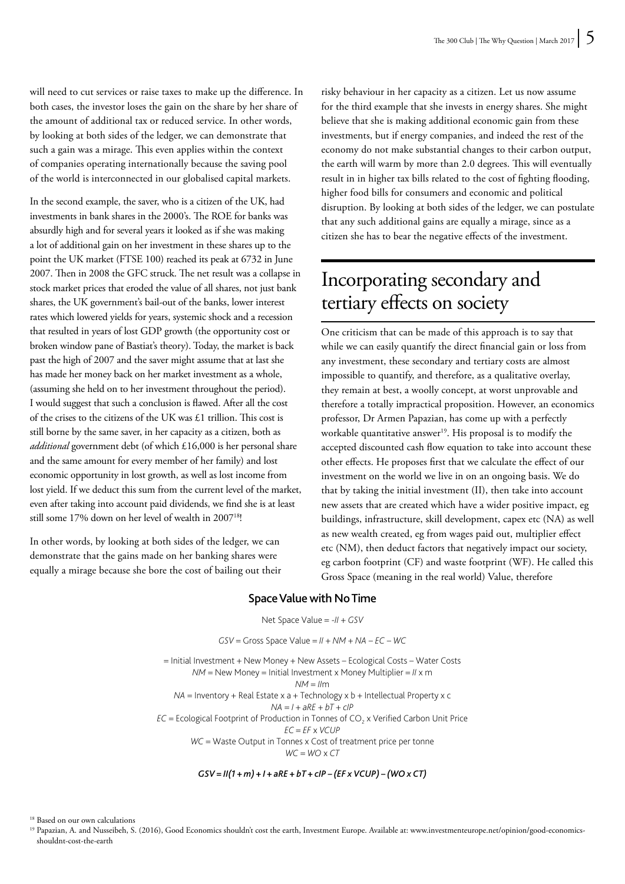will need to cut services or raise taxes to make up the difference. In both cases, the investor loses the gain on the share by her share of the amount of additional tax or reduced service. In other words, by looking at both sides of the ledger, we can demonstrate that such a gain was a mirage. This even applies within the context of companies operating internationally because the saving pool of the world is interconnected in our globalised capital markets.

In the second example, the saver, who is a citizen of the UK, had investments in bank shares in the 2000's. The ROE for banks was absurdly high and for several years it looked as if she was making a lot of additional gain on her investment in these shares up to the point the UK market (FTSE 100) reached its peak at 6732 in June 2007. Then in 2008 the GFC struck. The net result was a collapse in stock market prices that eroded the value of all shares, not just bank shares, the UK government's bail-out of the banks, lower interest rates which lowered yields for years, systemic shock and a recession that resulted in years of lost GDP growth (the opportunity cost or broken window pane of Bastiat's theory). Today, the market is back past the high of 2007 and the saver might assume that at last she has made her money back on her market investment as a whole, (assuming she held on to her investment throughout the period). I would suggest that such a conclusion is flawed. After all the cost of the crises to the citizens of the UK was £1 trillion. This cost is still borne by the same saver, in her capacity as a citizen, both as *additional* government debt (of which £16,000 is her personal share and the same amount for every member of her family) and lost economic opportunity in lost growth, as well as lost income from lost yield. If we deduct this sum from the current level of the market, even after taking into account paid dividends, we find she is at least still some 17% down on her level of wealth in 200718!

In other words, by looking at both sides of the ledger, we can demonstrate that the gains made on her banking shares were equally a mirage because she bore the cost of bailing out their

risky behaviour in her capacity as a citizen. Let us now assume for the third example that she invests in energy shares. She might believe that she is making additional economic gain from these investments, but if energy companies, and indeed the rest of the economy do not make substantial changes to their carbon output, the earth will warm by more than 2.0 degrees. This will eventually result in in higher tax bills related to the cost of fighting flooding, higher food bills for consumers and economic and political disruption. By looking at both sides of the ledger, we can postulate that any such additional gains are equally a mirage, since as a citizen she has to bear the negative effects of the investment.

#### Incorporating secondary and tertiary effects on society

One criticism that can be made of this approach is to say that while we can easily quantify the direct financial gain or loss from any investment, these secondary and tertiary costs are almost impossible to quantify, and therefore, as a qualitative overlay, they remain at best, a woolly concept, at worst unprovable and therefore a totally impractical proposition. However, an economics professor, Dr Armen Papazian, has come up with a perfectly workable quantitative answer<sup>19</sup>. His proposal is to modify the accepted discounted cash flow equation to take into account these other effects. He proposes first that we calculate the effect of our investment on the world we live in on an ongoing basis. We do that by taking the initial investment (II), then take into account new assets that are created which have a wider positive impact, eg buildings, infrastructure, skill development, capex etc (NA) as well as new wealth created, eg from wages paid out, multiplier effect etc (NM), then deduct factors that negatively impact our society, eg carbon footprint (CF) and waste footprint (WF). He called this Gross Space (meaning in the real world) Value, therefore

#### Space Value with No Time

Net Space Value = -*II* + *GSV*

*GSV* = Gross Space Value = *II* + *NM* + *NA* – *EC* – *WC*

= Initial Investment + New Money + New Assets – Ecological Costs – Water Costs *NM* = New Money = Initial Investment x Money Multiplier = *II* x m

*NM* = *II*m

 $NA =$  Inventory + Real Estate x a + Technology x b + Intellectual Property x c

*NA* = *I* + *aRE* + *bT* + *cIP*

 $EC =$  Ecological Footprint of Production in Tonnes of  $CO<sub>2</sub>$  x Verified Carbon Unit Price *EC* = *EF* x *VCUP*

*WC* = Waste Output in Tonnes x Cost of treatment price per tonne

*WC* = *WO* x *CT*

*GSV = II(1 + m) + I + aRE + bT + cIP – (EF x VCUP) – (WO x CT)*

<sup>18</sup> Based on our own calculations

<sup>19</sup> Papazian, A. and Nusseibeh, S. (2016), Good Economics shouldn't cost the earth, Investment Europe. Available at: www.investmenteurope.net/opinion/good-economicsshouldnt-cost-the-earth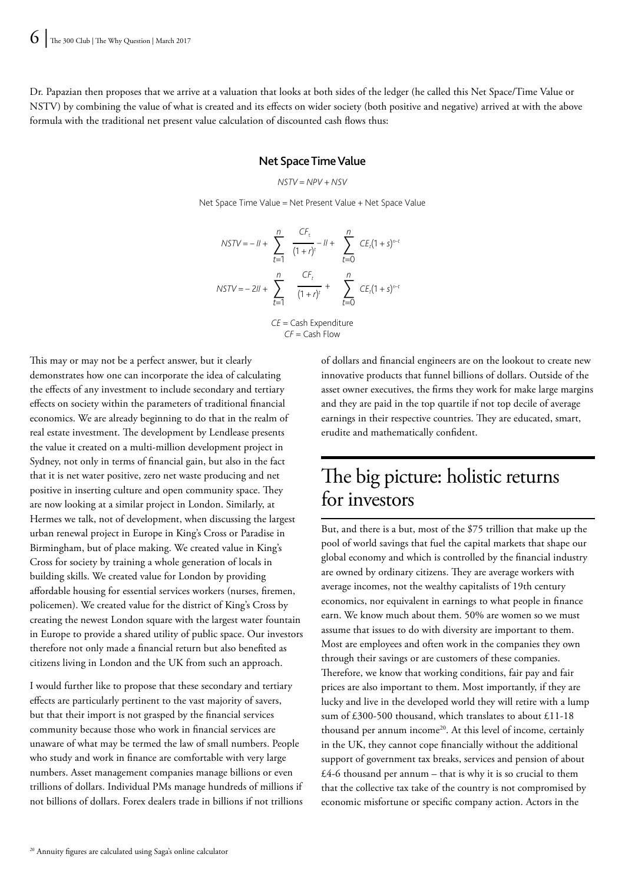Dr. Papazian then proposes that we arrive at a valuation that looks at both sides of the ledger (he called this Net Space/Time Value or NSTV) by combining the value of what is created and its effects on wider society (both positive and negative) arrived at with the above formula with the traditional net present value calculation of discounted cash flows thus:

#### Net Space Time Value

$$
NSTV = NPV + NSV
$$

Net Space Time Value = Net Present Value + Net Space Value

$$
NSTV = -ll + \sum_{t=1}^{n} \frac{CF_t}{(1+r)^t} - ll + \sum_{t=0}^{n} CE_t(1+s)^{n-t}
$$
  

$$
NSTV = -2ll + \sum_{t=1}^{n} \frac{CF_t}{(1+r)^t} + \sum_{t=0}^{n} CE_t(1+s)^{n-t}
$$
  

$$
CE = \text{Cash Expenditure}
$$
  

$$
CF = \text{Cash Flow}
$$

This may or may not be a perfect answer, but it clearly demonstrates how one can incorporate the idea of calculating the effects of any investment to include secondary and tertiary effects on society within the parameters of traditional financial economics. We are already beginning to do that in the realm of real estate investment. The development by Lendlease presents the value it created on a multi-million development project in Sydney, not only in terms of financial gain, but also in the fact that it is net water positive, zero net waste producing and net positive in inserting culture and open community space. They are now looking at a similar project in London. Similarly, at Hermes we talk, not of development, when discussing the largest urban renewal project in Europe in King's Cross or Paradise in Birmingham, but of place making. We created value in King's Cross for society by training a whole generation of locals in building skills. We created value for London by providing affordable housing for essential services workers (nurses, firemen, policemen). We created value for the district of King's Cross by creating the newest London square with the largest water fountain in Europe to provide a shared utility of public space. Our investors therefore not only made a financial return but also benefited as citizens living in London and the UK from such an approach.

I would further like to propose that these secondary and tertiary effects are particularly pertinent to the vast majority of savers, but that their import is not grasped by the financial services community because those who work in financial services are unaware of what may be termed the law of small numbers. People who study and work in finance are comfortable with very large numbers. Asset management companies manage billions or even trillions of dollars. Individual PMs manage hundreds of millions if not billions of dollars. Forex dealers trade in billions if not trillions of dollars and financial engineers are on the lookout to create new innovative products that funnel billions of dollars. Outside of the asset owner executives, the firms they work for make large margins and they are paid in the top quartile if not top decile of average earnings in their respective countries. They are educated, smart, erudite and mathematically confident.

#### The big picture: holistic returns for investors

But, and there is a but, most of the \$75 trillion that make up the pool of world savings that fuel the capital markets that shape our global economy and which is controlled by the financial industry are owned by ordinary citizens. They are average workers with average incomes, not the wealthy capitalists of 19th century economics, nor equivalent in earnings to what people in finance earn. We know much about them. 50% are women so we must assume that issues to do with diversity are important to them. Most are employees and often work in the companies they own through their savings or are customers of these companies. Therefore, we know that working conditions, fair pay and fair prices are also important to them. Most importantly, if they are lucky and live in the developed world they will retire with a lump sum of £300-500 thousand, which translates to about £11-18 thousand per annum income<sup>20</sup>. At this level of income, certainly in the UK, they cannot cope financially without the additional support of government tax breaks, services and pension of about  $£4-6$  thousand per annum – that is why it is so crucial to them that the collective tax take of the country is not compromised by economic misfortune or specific company action. Actors in the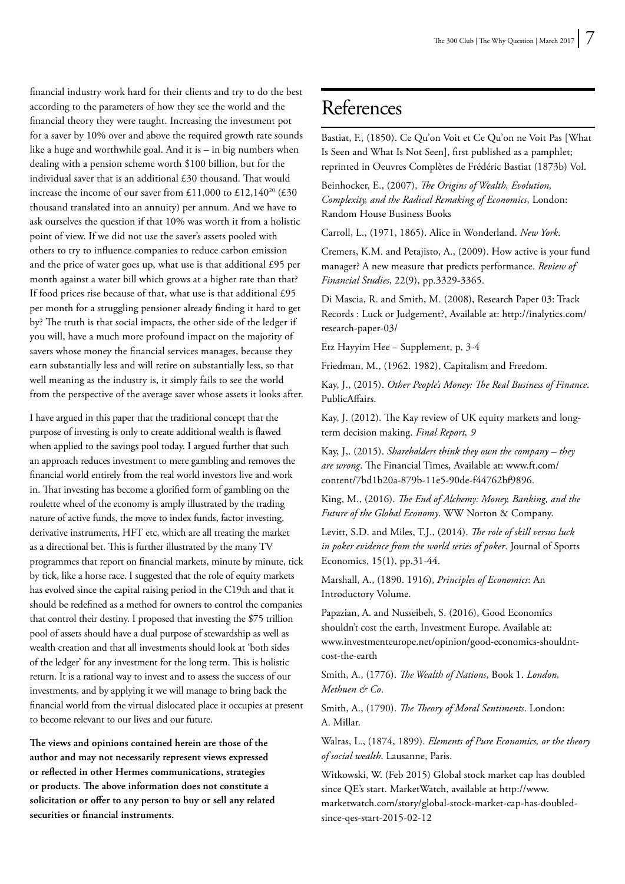financial industry work hard for their clients and try to do the best according to the parameters of how they see the world and the financial theory they were taught. Increasing the investment pot for a saver by 10% over and above the required growth rate sounds like a huge and worthwhile goal. And it is – in big numbers when dealing with a pension scheme worth \$100 billion, but for the individual saver that is an additional £30 thousand. That would increase the income of our saver from £11,000 to £12,140<sup>20</sup> (£30) thousand translated into an annuity) per annum. And we have to ask ourselves the question if that 10% was worth it from a holistic point of view. If we did not use the saver's assets pooled with others to try to influence companies to reduce carbon emission and the price of water goes up, what use is that additional £95 per month against a water bill which grows at a higher rate than that? If food prices rise because of that, what use is that additional £95 per month for a struggling pensioner already finding it hard to get by? The truth is that social impacts, the other side of the ledger if you will, have a much more profound impact on the majority of savers whose money the financial services manages, because they earn substantially less and will retire on substantially less, so that well meaning as the industry is, it simply fails to see the world from the perspective of the average saver whose assets it looks after.

I have argued in this paper that the traditional concept that the purpose of investing is only to create additional wealth is flawed when applied to the savings pool today. I argued further that such an approach reduces investment to mere gambling and removes the financial world entirely from the real world investors live and work in. That investing has become a glorified form of gambling on the roulette wheel of the economy is amply illustrated by the trading nature of active funds, the move to index funds, factor investing, derivative instruments, HFT etc, which are all treating the market as a directional bet. This is further illustrated by the many TV programmes that report on financial markets, minute by minute, tick by tick, like a horse race. I suggested that the role of equity markets has evolved since the capital raising period in the C19th and that it should be redefined as a method for owners to control the companies that control their destiny. I proposed that investing the \$75 trillion pool of assets should have a dual purpose of stewardship as well as wealth creation and that all investments should look at 'both sides of the ledger' for any investment for the long term. This is holistic return. It is a rational way to invest and to assess the success of our investments, and by applying it we will manage to bring back the financial world from the virtual dislocated place it occupies at present to become relevant to our lives and our future.

**The views and opinions contained herein are those of the author and may not necessarily represent views expressed or reflected in other Hermes communications, strategies or products. The above information does not constitute a solicitation or offer to any person to buy or sell any related securities or financial instruments.**

#### References

Bastiat, F., (1850). Ce Qu'on Voit et Ce Qu'on ne Voit Pas [What Is Seen and What Is Not Seen], first published as a pamphlet; reprinted in Oeuvres Complètes de Frédéric Bastiat (1873b) Vol.

Beinhocker, E., (2007), *The Origins of Wealth, Evolution, Complexity, and the Radical Remaking of Economics*, London: Random House Business Books

Carroll, L., (1971, 1865). Alice in Wonderland. *New York*.

Cremers, K.M. and Petajisto, A., (2009). How active is your fund manager? A new measure that predicts performance. *Review of Financial Studies*, 22(9), pp.3329-3365.

Di Mascia, R. and Smith, M. (2008), Research Paper 03: Track Records : Luck or Judgement?, Available at: http://inalytics.com/ research-paper-03/

Etz Hayyim Hee – Supplement, p, 3-4

Friedman, M., (1962. 1982), Capitalism and Freedom.

Kay, J., (2015). *Other People's Money: The Real Business of Finance*. PublicAffairs.

Kay, J. (2012). The Kay review of UK equity markets and longterm decision making. *Final Report, 9*

Kay, J,. (2015). *Shareholders think they own the company – they are wrong*. The Financial Times, Available at: www.ft.com/ content/7bd1b20a-879b-11e5-90de-f44762bf9896.

King, M., (2016). *The End of Alchemy: Money, Banking, and the Future of the Global Economy*. WW Norton & Company.

Levitt, S.D. and Miles, T.J., (2014). *The role of skill versus luck in poker evidence from the world series of poker*. Journal of Sports Economics, 15(1), pp.31-44.

Marshall, A., (1890. 1916), *Principles of Economics*: An Introductory Volume.

Papazian, A. and Nusseibeh, S. (2016), Good Economics shouldn't cost the earth, Investment Europe. Available at: www.investmenteurope.net/opinion/good-economics-shouldntcost-the-earth

Smith, A., (1776). *The Wealth of Nations*, Book 1. *London, Methuen & Co*.

Smith, A., (1790). *The Theory of Moral Sentiments*. London: A. Millar.

Walras, L., (1874, 1899). *Elements of Pure Economics, or the theory of social wealth*. Lausanne, Paris.

Witkowski, W. (Feb 2015) Global stock market cap has doubled since QE's start. MarketWatch, available at http://www. marketwatch.com/story/global-stock-market-cap-has-doubledsince-qes-start-2015-02-12